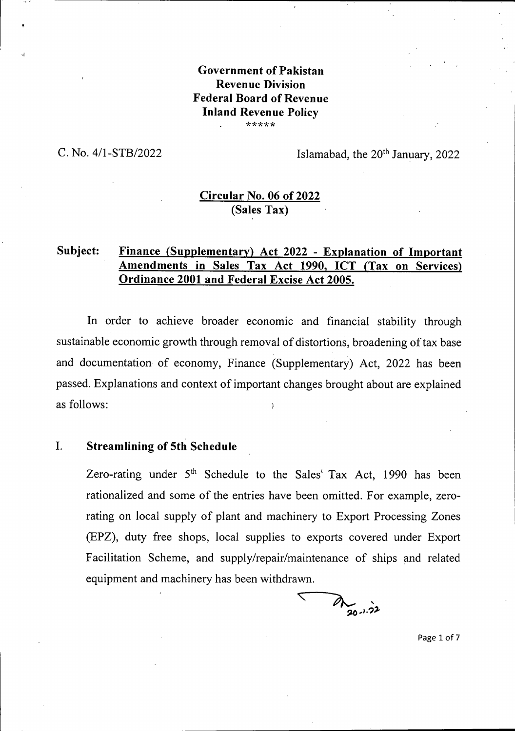### **Government of Pakistan Revenue Division Federal Board of Revenue Inland Revenue Policy** \*\*\*\*\*

C. No.  $4/1$ -STB/2022 Islamabad, the  $20<sup>th</sup>$  January, 2022

# **Circular No. 06 of 2022** (Sales Tax)

# **Subject: Finance (Supplementary) Act 2022 - Explanation of Important Amendments in Sales Tax Act 1990, ICT (Tax on Services) Ordinance 2001 and Federal Excise Act 2005.**

In order to achieve broader economic and financial stability through sustainable economic growth through removal of distortions, broadening of tax base and documentation of economy, Finance (Supplementary) Act, 2022 has been passed. Explanations and context of important changes brought about are explained as follows:

### **I. Streamlining of 5th Schedule**

Zero-rating under  $5<sup>th</sup>$  Schedule to the Sales' Tax Act, 1990 has been rationalized and some of the entries have been omitted. For example, zerorating on local supply of plant and machinery to Export Processing Zones (EPZ), duty free shops, local supplies to exports covered under Export Facilitation Scheme, and supply/repair/maintenance of ships and related equipment and machinery has been withdrawn.

 $\triangledown$  $20 - 1.22$ 

Page <sup>1</sup> of <sup>7</sup>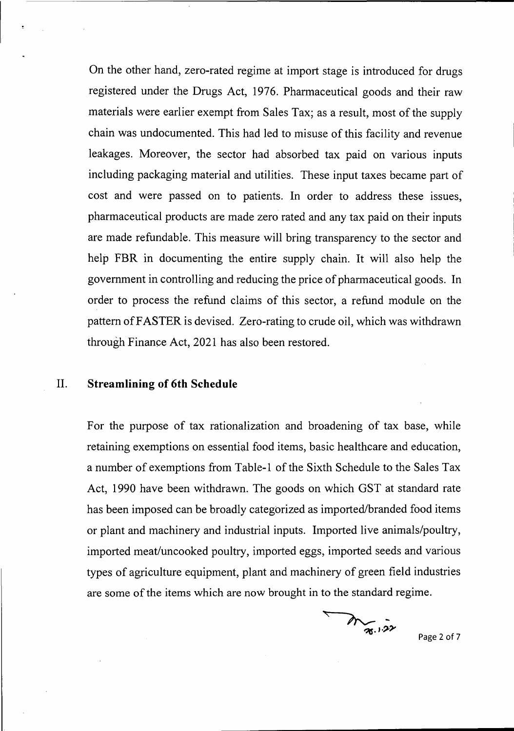On the other hand, zero-rated regime at import stage is introduced for drugs registered under the Drugs Act, 1976. Pharmaceutical goods and their raw materials were earlier exempt from Sales Tax; as a result, most of the supply chain was undocumented. This had led to misuse of this facility and revenue leakages. Moreover, the sector had absorbed tax paid on various inputs including packaging material and utilities. These input taxes became part of cost and were passed on to patients. In order to address these issues, pharmaceutical products are made zero rated and any tax paid on their inputs are made refundable. This measure will bring transparency to the sector and help FBR in documenting the entire supply chain. It will also help the government in controlling and reducing the price of pharmaceutical goods. In order to process the refund claims of this sector, a refund module on the pattern ofFASTER is devised. Zero-rating to crude oil, which was withdrawn through Finance Act, 2021 has also been restored.

#### II. **Streamlining of 6th Schedule**

For the purpose of tax rationalization and broadening of tax base, while retaining exemptions on essential food items, basic healthcare and education, a number of exemptions from Table-1 of the Sixth Schedule to the Sales Tax Act, 1990 have been withdrawn. The goods on which GST at standard rate has been imposed can be broadly categorized as imported/branded food items or plant and machinery and industrial inputs. Imported live animals/poultry, imported meat/uncooked poultry, imported eggs, imported seeds and various types of agriculture equipment, plant and machinery of green field industries are some of the items which are now brought in to the standard regime.

Mr. 1.22

Page 2 of <sup>7</sup>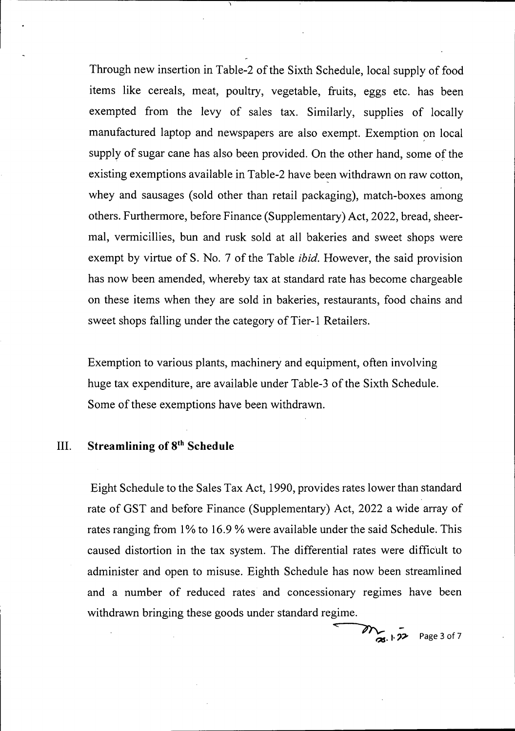Through new insertion in Table-2 of the Sixth Schedule, local supply of food items like cereals, meat, poultry, vegetable, fruits, eggs etc. has been exempted from the levy of sales tax. Similarly, supplies of locally manufactured laptop and newspapers are also exempt. Exemption on local supply of sugar cane has also been provided. On the other hand, some of the existing exemptions available in Table-2 have been withdrawn on raw cotton, whey and sausages (sold other than retail packaging), match-boxes among others. Furthermore, before Finance (Supplementary) Act, 2022, bread, sheermal, vermicillies, bun and rusk sold at all bakeries and sweet shops were exempt by virtue of S. No. 7 of the Table *ibid.* However, the said provision has now been amended, whereby tax at standard rate has become chargeable on these items when they are sold in bakeries, restaurants, food chains and sweet shops falling under the category of Tier-1 Retailers.

Exemption to various plants, machinery and equipment, often involving huge tax expenditure, are available under Table-3 of the Sixth Schedule. Some of these exemptions have been withdrawn.

## III. **Streamlining of 8th Schedule**

Eight Schedule to the Sales Tax Act, 1990, provides rates lower than standard rate of GST and before Finance (Supplementary) Act, 2022 a wide array of rates ranging from 1% to 16.9 % were available under the said Schedule. This caused distortion in the tax system. The differential rates were difficult to administer and open to misuse. Eighth Schedule has now been streamlined and a number of reduced rates and concessionary regimes have been withdrawn bringing these goods under standard regime.

 $27$  Page 3 of 7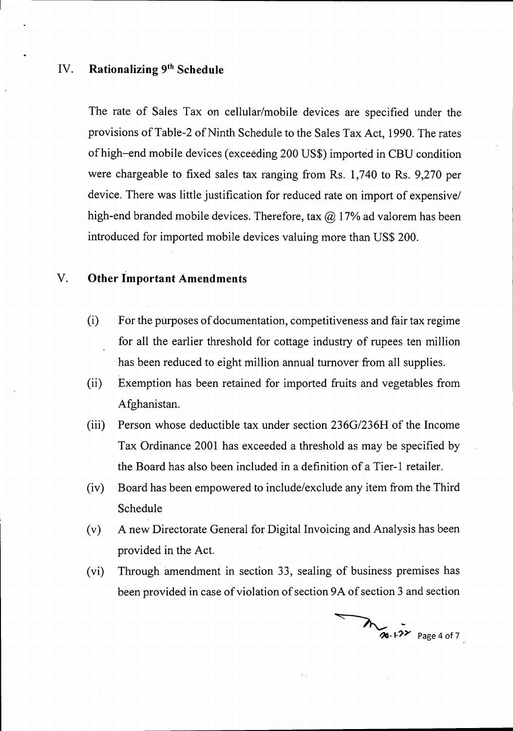## **IV. Rationalizing 9th Schedule**

The rate of Sales Tax on cellular/mobile devices are specified under the provisions of Table-2 of Ninth Schedule to the Sales Tax Act, 1990. The rates ofhigh-end mobile devices (exceeding 200 US\$) imported in CBU condition were chargeable to fixed sales tax ranging from Rs. 1,740 to Rs. 9,270 per device. There was little justification for reduced rate on import of expensive/ high-end branded mobile devices. Therefore, tax  $\omega$  17% ad valorem has been introduced for imported mobile devices valuing more than US\$ 200.

## V. **Other Important Amendments**

- For the purposes of documentation, competitiveness and fair tax regime for all the earlier threshold for cottage industry of rupees ten million has been reduced to eight million annual turnover from all supplies. (i)
- (ii) Exemption has been retained for imported fruits and vegetables from Afghanistan.
- (iii) Person whose deductible tax under section 236G/236H of the Income Tax Ordinance 2001 has exceeded a threshold as may be specified by the Board has also been included in a definition of a Tier-1 retailer.
- (iv) Board has been empowered to include/exclude any item from the Third Schedule
- (v) A new Directorate General for Digital Invoicing and Analysis has been provided in the Act.
- (vi) Through amendment in section 33, sealing of business premises has been provided in case of violation of section 9A of section 3 and section

 $20.122$  Page 4 of 7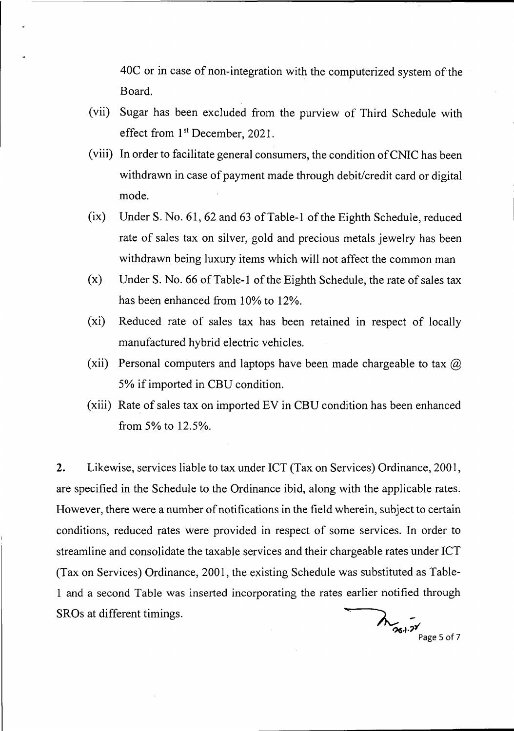40C or in case of non-integration with the computerized system of the Board.

- (vii) Sugar has been excluded from the purview of Third Schedule with effect from 1st December, 2021.
- (viii) In order to facilitate general consumers, the condition ofCNIC has been withdrawn in case of payment made through debit/credit card or digital mode.
- $(ix)$  Under S. No. 61, 62 and 63 of Table-1 of the Eighth Schedule, reduced rate of sales tax on silver, gold and precious metals jewelry has been withdrawn being luxury items which will not affect the common man
- $(x)$  Under S. No. 66 of Table-1 of the Eighth Schedule, the rate of sales tax has been enhanced from 10% to 12%.
- (xi) Reduced rate of sales tax has been retained in respect of locally manufactured hybrid electric vehicles.
- (xii) Personal computers and laptops have been made chargeable to tax  $\omega$ *5%* ifimported in CBU condition.
- (xiii) Rate of sales tax on imported EV in CBU condition has been enhanced from 5% to 12.5%.

Likewise, services liable to tax under ICT (Tax on Services) Ordinance, 2001, are specified in the Schedule to the Ordinance ibid, along with the applicable rates. However, there were a number of notifications in the field wherein, subject to certain conditions, reduced rates were provided in respect of some services. In order to streamline and consolidate the taxable services and their chargeable rates under ICT (Tax on Services) Ordinance, 2001, the existing Schedule was substituted as Table-<sup>1</sup> and a second Table was inserted incorporating the rates earlier notified through SROs at different timings. 2.

 $\lambda$  24.  $\frac{1}{2}$  Page 5 of 7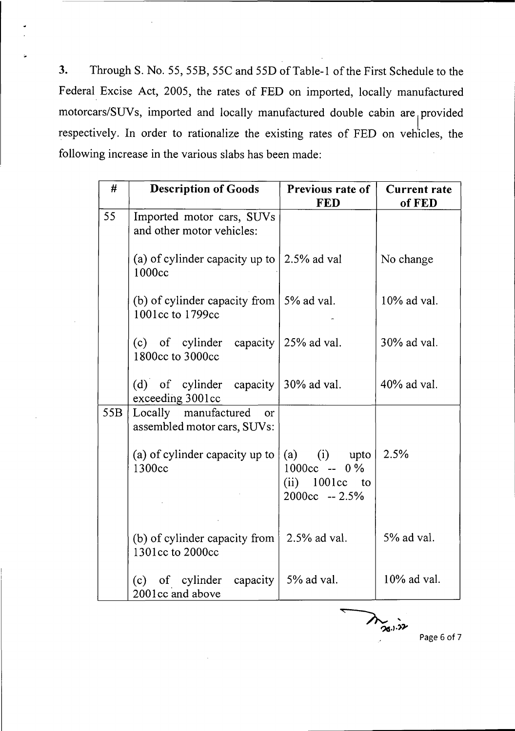Through S. No. 55, 55B, 55C and 55D of Table-1 of the First Schedule to the Federal Excise Act, 2005, the rates of FED on imported, locally manufactured motorcars/SUVs, imported and locally manufactured double cabin are <sup>|</sup> provided respectively. In order to rationalize the existing rates of FED on vehicles, the following increase in the various slabs has been made: **3.**

| #   | <b>Description of Goods</b>                                          | Previous rate of<br><b>FED</b>                                             | <b>Current rate</b><br>of FED |
|-----|----------------------------------------------------------------------|----------------------------------------------------------------------------|-------------------------------|
| 55  | Imported motor cars, SUVs<br>and other motor vehicles:               |                                                                            |                               |
|     | (a) of cylinder capacity up to<br>1000cc                             | 2.5% ad val                                                                | No change                     |
|     | (b) of cylinder capacity from $\vert$ 5% ad val.<br>1001cc to 1799cc |                                                                            | $10\%$ ad val.                |
|     | (c) of cylinder capacity $25\%$ ad val.<br>1800cc to 3000cc          |                                                                            | 30% ad val.                   |
|     | (d) of cylinder capacity<br>exceeding 3001cc                         | 30% ad val.                                                                | $40\%$ ad val.                |
| 55B | Locally manufactured<br><sub>or</sub><br>assembled motor cars, SUVs: |                                                                            |                               |
|     | (a) of cylinder capacity up to<br>1300cc                             | $(a)$ (i) upto<br>$1000cc - 0\%$<br>$(ii)$ 1001 $cc$ to<br>$2000cc - 2.5%$ | 2.5%                          |
|     | (b) of cylinder capacity from<br>1301cc to 2000cc                    | $2.5\%$ ad val.                                                            | 5% ad val.                    |
|     | capacity<br>(c)<br>of cylinder<br>2001cc and above                   | 5% ad val.                                                                 | $10\%$ ad val.                |

Page 6 of 7

**ACTION**